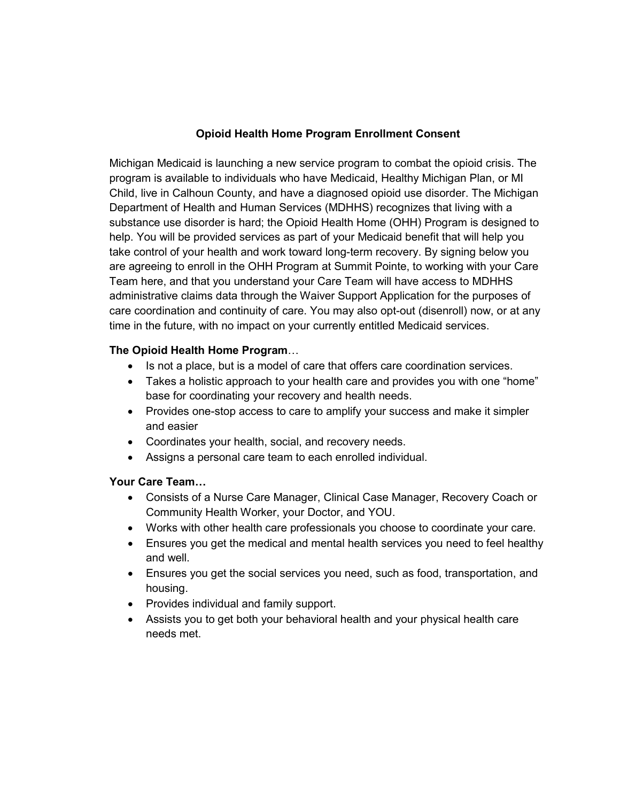## **Opioid Health Home Program Enrollment Consent**

Michigan Medicaid is launching a new service program to combat the opioid crisis. The program is available to individuals who have Medicaid, Healthy Michigan Plan, or MI Child, live in Calhoun County, and have a diagnosed opioid use disorder. The Michigan Department of Health and Human Services (MDHHS) recognizes that living with a substance use disorder is hard; the Opioid Health Home (OHH) Program is designed to help. You will be provided services as part of your Medicaid benefit that will help you take control of your health and work toward long-term recovery. By signing below you are agreeing to enroll in the OHH Program at Summit Pointe, to working with your Care Team here, and that you understand your Care Team will have access to MDHHS administrative claims data through the Waiver Support Application for the purposes of care coordination and continuity of care. You may also opt-out (disenroll) now, or at any time in the future, with no impact on your currently entitled Medicaid services.

## **The Opioid Health Home Program**…

- Is not a place, but is a model of care that offers care coordination services.
- Takes a holistic approach to your health care and provides you with one "home" base for coordinating your recovery and health needs.
- Provides one-stop access to care to amplify your success and make it simpler and easier
- Coordinates your health, social, and recovery needs.
- Assigns a personal care team to each enrolled individual.

## **Your Care Team…**

- Consists of a Nurse Care Manager, Clinical Case Manager, Recovery Coach or Community Health Worker, your Doctor, and YOU.
- Works with other health care professionals you choose to coordinate your care.
- Ensures you get the medical and mental health services you need to feel healthy and well.
- Ensures you get the social services you need, such as food, transportation, and housing.
- Provides individual and family support.
- Assists you to get both your behavioral health and your physical health care needs met.